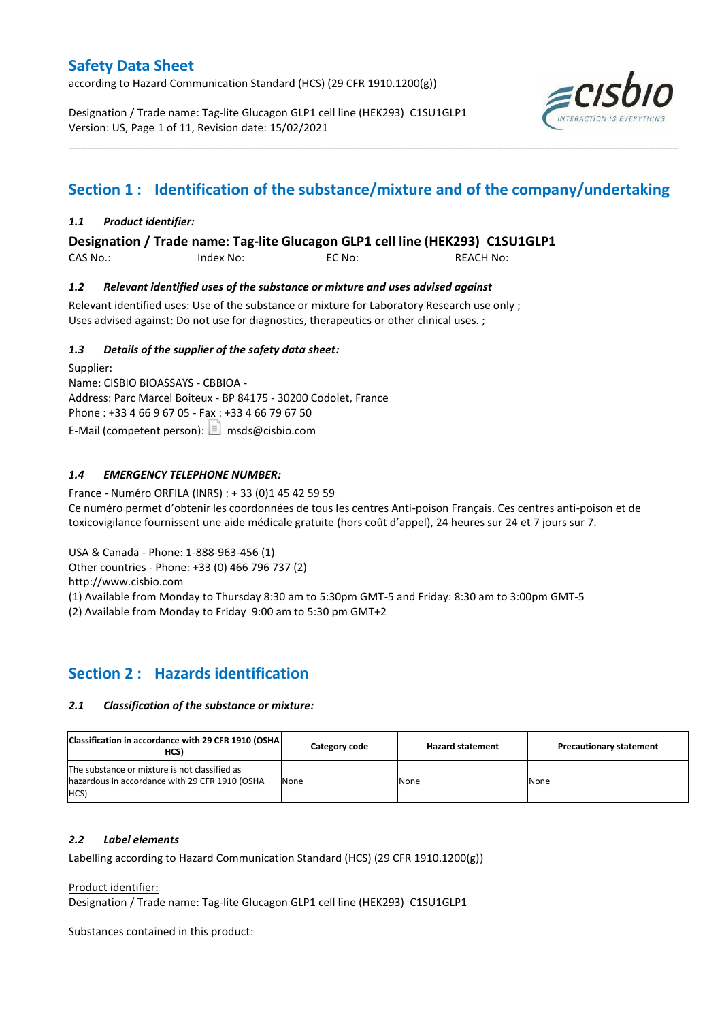according to Hazard Communication Standard (HCS) (29 CFR 1910.1200(g))

Designation / Trade name: Tag-lite Glucagon GLP1 cell line (HEK293) C1SU1GLP1 Version: US, Page 1 of 11, Revision date: 15/02/2021



# **Section 1 : Identification of the substance/mixture and of the company/undertaking**

\_\_\_\_\_\_\_\_\_\_\_\_\_\_\_\_\_\_\_\_\_\_\_\_\_\_\_\_\_\_\_\_\_\_\_\_\_\_\_\_\_\_\_\_\_\_\_\_\_\_\_\_\_\_\_\_\_\_\_\_\_\_\_\_\_\_\_\_\_\_\_\_\_\_\_\_\_\_\_\_\_\_\_\_\_\_\_\_\_\_\_\_\_\_\_\_\_\_\_\_\_

### *1.1 Product identifier:*

**Designation / Trade name: Tag-lite Glucagon GLP1 cell line (HEK293) C1SU1GLP1** 

CAS No.: Index No: EC No: REACH No:

### *1.2 Relevant identified uses of the substance or mixture and uses advised against*

Relevant identified uses: Use of the substance or mixture for Laboratory Research use only ; Uses advised against: Do not use for diagnostics, therapeutics or other clinical uses. ;

### *1.3 Details of the supplier of the safety data sheet:*

Supplier: Name: CISBIO BIOASSAYS - CBBIOA - Address: Parc Marcel Boiteux - BP 84175 - 30200 Codolet, France Phone : +33 4 66 9 67 05 - Fax : +33 4 66 79 67 50 E-Mail (competent person):  $\boxed{\equiv}$  msds@cisbio.com

### *1.4 EMERGENCY TELEPHONE NUMBER:*

France - Numéro ORFILA (INRS) : + 33 (0)1 45 42 59 59 Ce numéro permet d'obtenir les coordonnées de tous les centres Anti-poison Français. Ces centres anti-poison et de toxicovigilance fournissent une aide médicale gratuite (hors coût d'appel), 24 heures sur 24 et 7 jours sur 7.

USA & Canada - Phone: 1-888-963-456 (1)

Other countries - Phone: +33 (0) 466 796 737 (2)

http://www.cisbio.com

(1) Available from Monday to Thursday 8:30 am to 5:30pm GMT-5 and Friday: 8:30 am to 3:00pm GMT-5

(2) Available from Monday to Friday 9:00 am to 5:30 pm GMT+2

# **Section 2 : Hazards identification**

### *2.1 Classification of the substance or mixture:*

| Classification in accordance with 29 CFR 1910 (OSHA)<br>HCS)                                            | Category code | <b>Hazard statement</b> | <b>Precautionary statement</b> |
|---------------------------------------------------------------------------------------------------------|---------------|-------------------------|--------------------------------|
| The substance or mixture is not classified as<br>hazardous in accordance with 29 CFR 1910 (OSHA<br>HCS) | None          | None                    | None                           |

### *2.2 Label elements*

Labelling according to Hazard Communication Standard (HCS) (29 CFR 1910.1200(g))

Product identifier:

Designation / Trade name: Tag-lite Glucagon GLP1 cell line (HEK293) C1SU1GLP1

Substances contained in this product: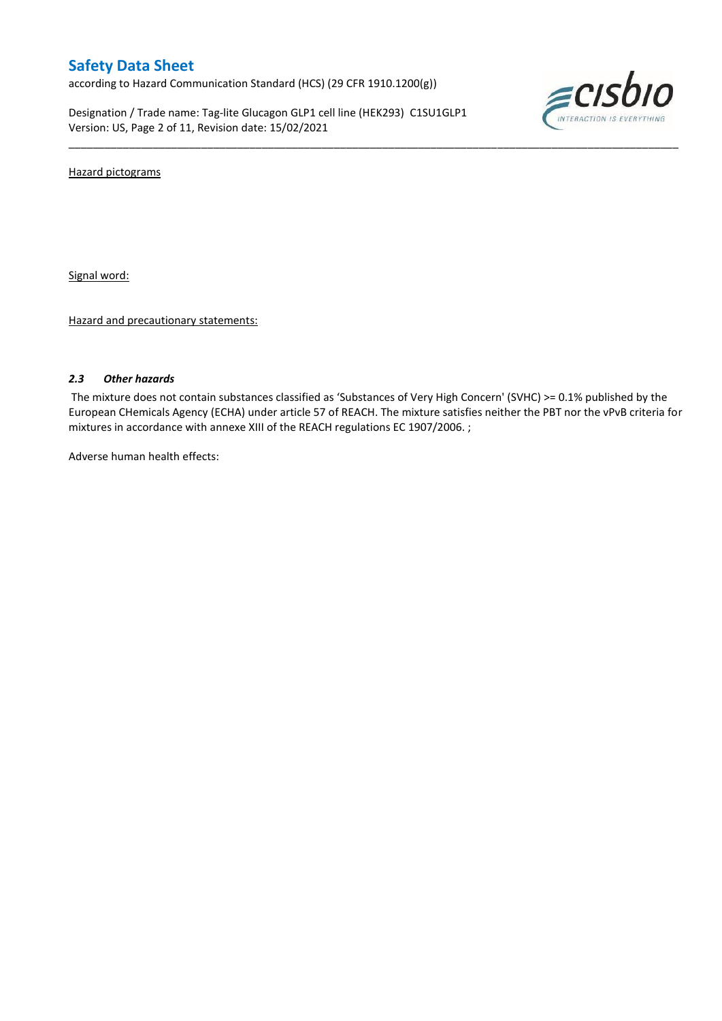according to Hazard Communication Standard (HCS) (29 CFR 1910.1200(g))

Designation / Trade name: Tag-lite Glucagon GLP1 cell line (HEK293) C1SU1GLP1 Version: US, Page 2 of 11, Revision date: 15/02/2021



Hazard pictograms

Signal word:

Hazard and precautionary statements:

### *2.3 Other hazards*

The mixture does not contain substances classified as 'Substances of Very High Concern' (SVHC) >= 0.1% published by the European CHemicals Agency (ECHA) under article 57 of REACH. The mixture satisfies neither the PBT nor the vPvB criteria for mixtures in accordance with annexe XIII of the REACH regulations EC 1907/2006. ;

\_\_\_\_\_\_\_\_\_\_\_\_\_\_\_\_\_\_\_\_\_\_\_\_\_\_\_\_\_\_\_\_\_\_\_\_\_\_\_\_\_\_\_\_\_\_\_\_\_\_\_\_\_\_\_\_\_\_\_\_\_\_\_\_\_\_\_\_\_\_\_\_\_\_\_\_\_\_\_\_\_\_\_\_\_\_\_\_\_\_\_\_\_\_\_\_\_\_\_\_\_

Adverse human health effects: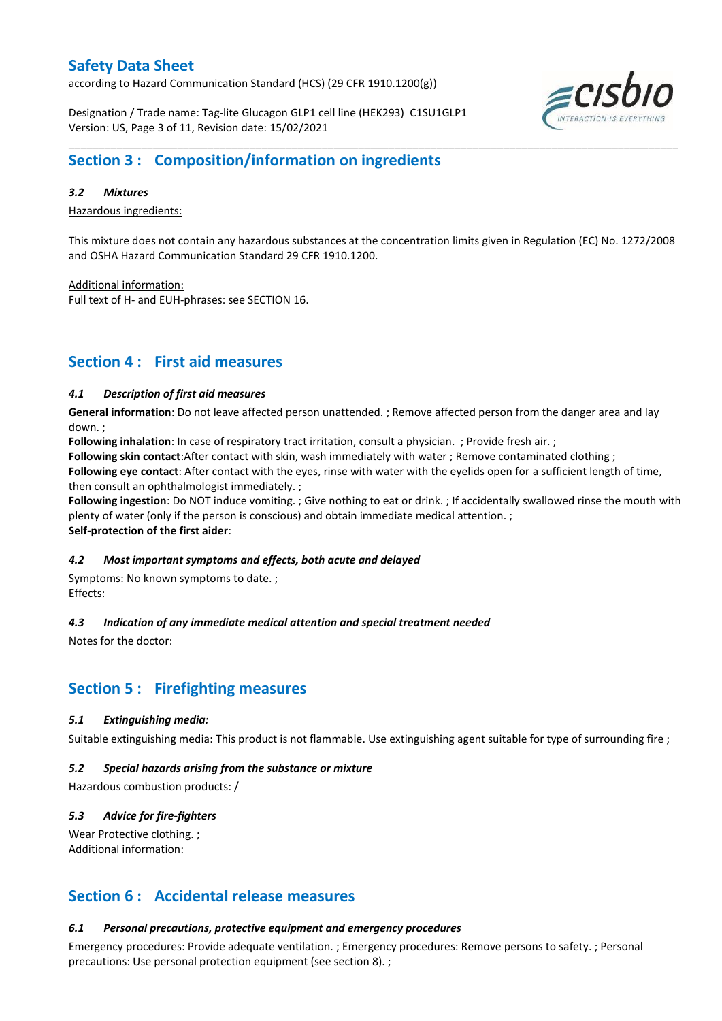according to Hazard Communication Standard (HCS) (29 CFR 1910.1200(g))

Designation / Trade name: Tag-lite Glucagon GLP1 cell line (HEK293) C1SU1GLP1 Version: US, Page 3 of 11, Revision date: 15/02/2021



### *3.2 Mixtures*

Hazardous ingredients:

This mixture does not contain any hazardous substances at the concentration limits given in Regulation (EC) No. 1272/2008 and OSHA Hazard Communication Standard 29 CFR 1910.1200.

Additional information:

Full text of H- and EUH-phrases: see SECTION 16.

### **Section 4 : First aid measures**

### *4.1 Description of first aid measures*

**General information**: Do not leave affected person unattended. ; Remove affected person from the danger area and lay down. ;

**Following inhalation**: In case of respiratory tract irritation, consult a physician. ; Provide fresh air. ;

**Following skin contact**:After contact with skin, wash immediately with water ; Remove contaminated clothing ;

**Following eye contact**: After contact with the eyes, rinse with water with the eyelids open for a sufficient length of time, then consult an ophthalmologist immediately. ;

**Following ingestion**: Do NOT induce vomiting. ; Give nothing to eat or drink. ; If accidentally swallowed rinse the mouth with plenty of water (only if the person is conscious) and obtain immediate medical attention. ; **Self-protection of the first aider**:

#### *4.2 Most important symptoms and effects, both acute and delayed*

Symptoms: No known symptoms to date. ; Effects:

### *4.3 Indication of any immediate medical attention and special treatment needed*

Notes for the doctor:

# **Section 5 : Firefighting measures**

#### *5.1 Extinguishing media:*

Suitable extinguishing media: This product is not flammable. Use extinguishing agent suitable for type of surrounding fire ;

#### *5.2 Special hazards arising from the substance or mixture*

Hazardous combustion products: /

### *5.3 Advice for fire-fighters*

Wear Protective clothing. : Additional information:

### **Section 6 : Accidental release measures**

### *6.1 Personal precautions, protective equipment and emergency procedures*

Emergency procedures: Provide adequate ventilation. ; Emergency procedures: Remove persons to safety. ; Personal precautions: Use personal protection equipment (see section 8). ;

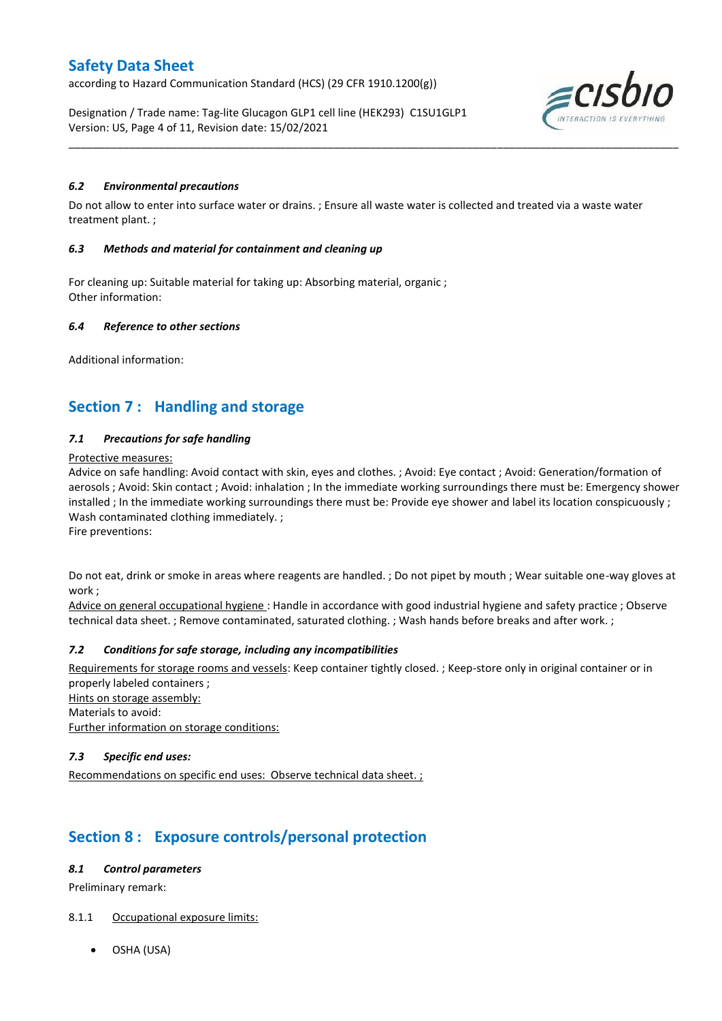according to Hazard Communication Standard (HCS) (29 CFR 1910.1200(g))

Designation / Trade name: Tag-lite Glucagon GLP1 cell line (HEK293) C1SU1GLP1 Version: US, Page 4 of 11, Revision date: 15/02/2021



### *6.2 Environmental precautions*

Do not allow to enter into surface water or drains. ; Ensure all waste water is collected and treated via a waste water treatment plant. ;

\_\_\_\_\_\_\_\_\_\_\_\_\_\_\_\_\_\_\_\_\_\_\_\_\_\_\_\_\_\_\_\_\_\_\_\_\_\_\_\_\_\_\_\_\_\_\_\_\_\_\_\_\_\_\_\_\_\_\_\_\_\_\_\_\_\_\_\_\_\_\_\_\_\_\_\_\_\_\_\_\_\_\_\_\_\_\_\_\_\_\_\_\_\_\_\_\_\_\_\_\_

#### *6.3 Methods and material for containment and cleaning up*

For cleaning up: Suitable material for taking up: Absorbing material, organic ; Other information:

#### *6.4 Reference to other sections*

Additional information:

# **Section 7 : Handling and storage**

### *7.1 Precautions for safe handling*

#### Protective measures:

Advice on safe handling: Avoid contact with skin, eyes and clothes. ; Avoid: Eye contact ; Avoid: Generation/formation of aerosols ; Avoid: Skin contact ; Avoid: inhalation ; In the immediate working surroundings there must be: Emergency shower installed ; In the immediate working surroundings there must be: Provide eye shower and label its location conspicuously ; Wash contaminated clothing immediately. ;

Fire preventions:

Do not eat, drink or smoke in areas where reagents are handled. ; Do not pipet by mouth ; Wear suitable one-way gloves at work ;

Advice on general occupational hygiene : Handle in accordance with good industrial hygiene and safety practice ; Observe technical data sheet. ; Remove contaminated, saturated clothing. ; Wash hands before breaks and after work. ;

### *7.2 Conditions for safe storage, including any incompatibilities*

Requirements for storage rooms and vessels: Keep container tightly closed. ; Keep-store only in original container or in properly labeled containers ; Hints on storage assembly: Materials to avoid: Further information on storage conditions:

#### *7.3 Specific end uses:*

Recommendations on specific end uses: Observe technical data sheet.;

# **Section 8 : Exposure controls/personal protection**

#### *8.1 Control parameters*

Preliminary remark:

### 8.1.1 Occupational exposure limits:

OSHA (USA)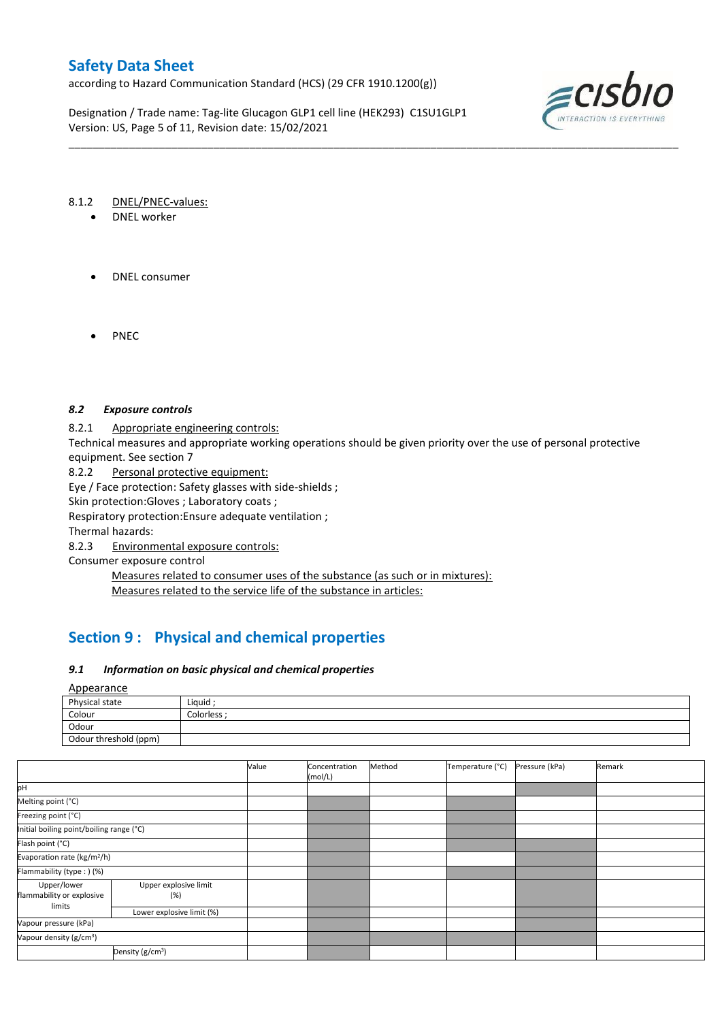according to Hazard Communication Standard (HCS) (29 CFR 1910.1200(g))

Designation / Trade name: Tag-lite Glucagon GLP1 cell line (HEK293) C1SU1GLP1 Version: US, Page 5 of 11, Revision date: 15/02/2021



#### 8.1.2 DNEL/PNEC-values:

- DNEL worker
- DNEL consumer
- PNEC

### *8.2 Exposure controls*

8.2.1 Appropriate engineering controls:

Technical measures and appropriate working operations should be given priority over the use of personal protective equipment. See section 7

\_\_\_\_\_\_\_\_\_\_\_\_\_\_\_\_\_\_\_\_\_\_\_\_\_\_\_\_\_\_\_\_\_\_\_\_\_\_\_\_\_\_\_\_\_\_\_\_\_\_\_\_\_\_\_\_\_\_\_\_\_\_\_\_\_\_\_\_\_\_\_\_\_\_\_\_\_\_\_\_\_\_\_\_\_\_\_\_\_\_\_\_\_\_\_\_\_\_\_\_\_

8.2.2 Personal protective equipment: Eye / Face protection: Safety glasses with side-shields ;

Skin protection:Gloves ; Laboratory coats ;

Respiratory protection:Ensure adequate ventilation ;

Thermal hazards:

8.2.3 Environmental exposure controls:

Consumer exposure control

Measures related to consumer uses of the substance (as such or in mixtures): Measures related to the service life of the substance in articles:

# **Section 9 : Physical and chemical properties**

#### *9.1 Information on basic physical and chemical properties*

Appearance

| Physical state        | Liquid    |
|-----------------------|-----------|
| Colour                | Colorless |
| Odour                 |           |
| Odour threshold (ppm) |           |

|                                                    |                              | Value | Concentration<br>(mol/L) | Method | Temperature (°C) | Pressure (kPa) | Remark |
|----------------------------------------------------|------------------------------|-------|--------------------------|--------|------------------|----------------|--------|
| pH                                                 |                              |       |                          |        |                  |                |        |
| Melting point (°C)                                 |                              |       |                          |        |                  |                |        |
| Freezing point (°C)                                |                              |       |                          |        |                  |                |        |
| Initial boiling point/boiling range (°C)           |                              |       |                          |        |                  |                |        |
| Flash point (°C)                                   |                              |       |                          |        |                  |                |        |
| Evaporation rate (kg/m <sup>2</sup> /h)            |                              |       |                          |        |                  |                |        |
| Flammability (type: ) (%)                          |                              |       |                          |        |                  |                |        |
| Upper/lower<br>flammability or explosive<br>limits | Upper explosive limit<br>(%) |       |                          |        |                  |                |        |
|                                                    | Lower explosive limit (%)    |       |                          |        |                  |                |        |
| Vapour pressure (kPa)                              |                              |       |                          |        |                  |                |        |
| Vapour density (g/cm <sup>3</sup> )                |                              |       |                          |        |                  |                |        |
| Density (g/cm <sup>3</sup> )                       |                              |       |                          |        |                  |                |        |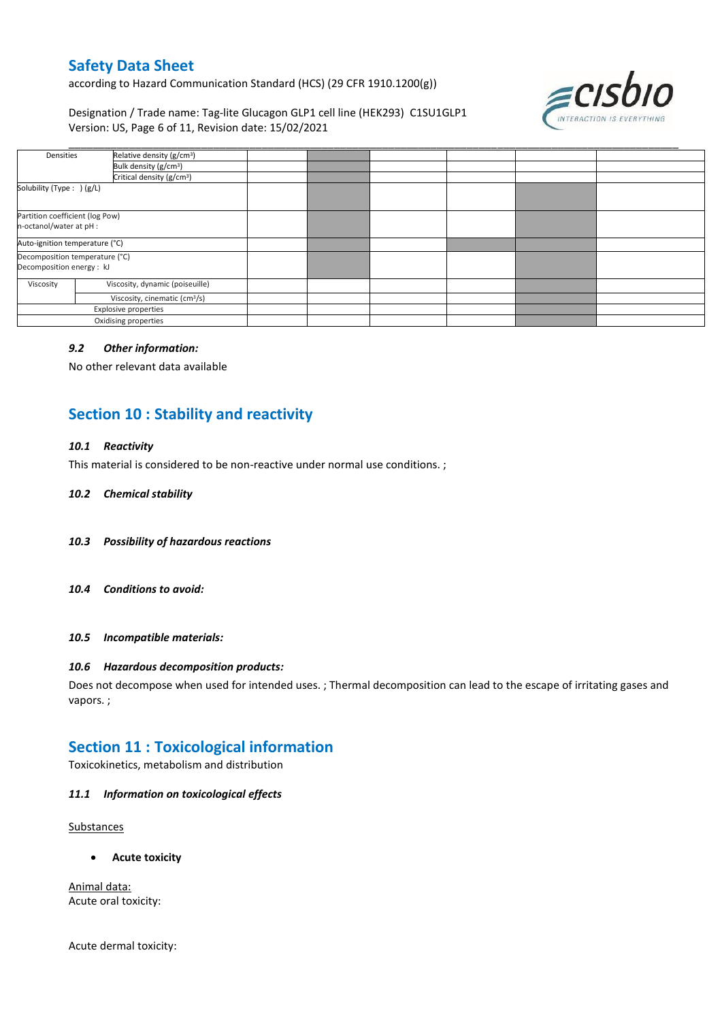according to Hazard Communication Standard (HCS) (29 CFR 1910.1200(g))

Designation / Trade name: Tag-lite Glucagon GLP1 cell line (HEK293) C1SU1GLP1 Version: US, Page 6 of 11, Revision date: 15/02/2021



| Densities                                                   | Relative density (g/cm <sup>3</sup> )     |  |  |  |
|-------------------------------------------------------------|-------------------------------------------|--|--|--|
|                                                             | Bulk density (g/cm <sup>3</sup> )         |  |  |  |
|                                                             | Critical density (g/cm <sup>3</sup> )     |  |  |  |
| Solubility (Type: ) (g/L)                                   |                                           |  |  |  |
| Partition coefficient (log Pow)<br>n-octanol/water at pH :  |                                           |  |  |  |
| Auto-ignition temperature (°C)                              |                                           |  |  |  |
| Decomposition temperature (°C)<br>Decomposition energy : kJ |                                           |  |  |  |
| Viscosity                                                   | Viscosity, dynamic (poiseuille)           |  |  |  |
|                                                             | Viscosity, cinematic (cm <sup>3</sup> /s) |  |  |  |
|                                                             | Explosive properties                      |  |  |  |
| Oxidising properties                                        |                                           |  |  |  |

#### *9.2 Other information:*

No other relevant data available

# **Section 10 : Stability and reactivity**

### *10.1 Reactivity*

This material is considered to be non-reactive under normal use conditions. ;

#### *10.2 Chemical stability*

- *10.3 Possibility of hazardous reactions*
- *10.4 Conditions to avoid:*

### *10.5 Incompatible materials:*

#### *10.6 Hazardous decomposition products:*

Does not decompose when used for intended uses. ; Thermal decomposition can lead to the escape of irritating gases and vapors. ;

### **Section 11 : Toxicological information**

Toxicokinetics, metabolism and distribution

#### *11.1 Information on toxicological effects*

Substances

**Acute toxicity**

Animal data: Acute oral toxicity:

Acute dermal toxicity: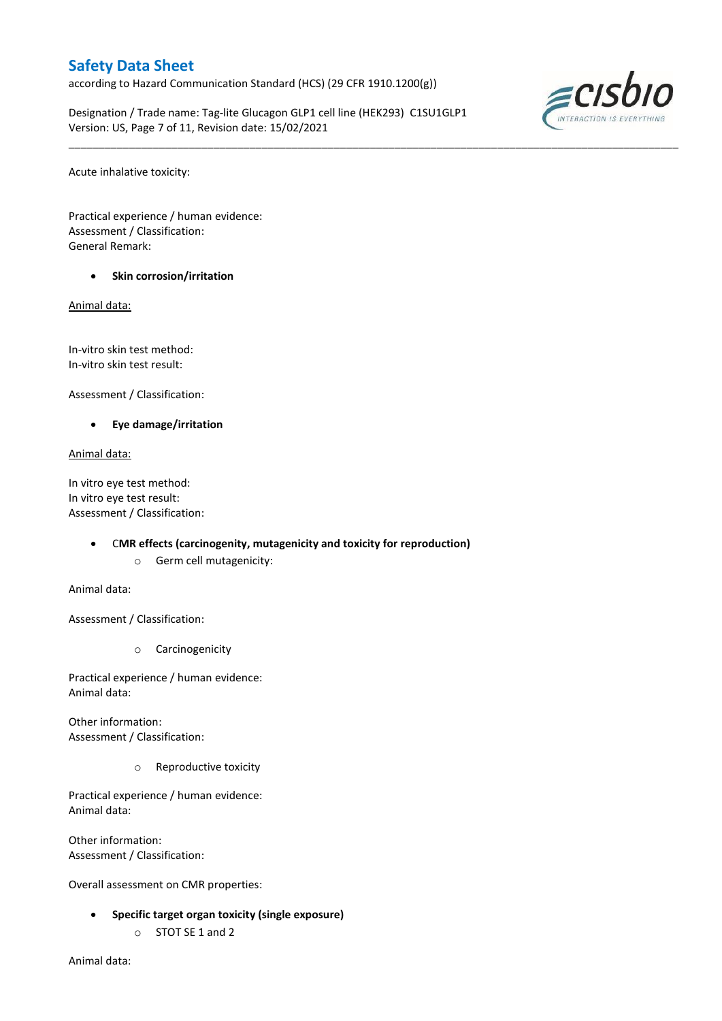according to Hazard Communication Standard (HCS) (29 CFR 1910.1200(g))

Designation / Trade name: Tag-lite Glucagon GLP1 cell line (HEK293) C1SU1GLP1 Version: US, Page 7 of 11, Revision date: 15/02/2021

\_\_\_\_\_\_\_\_\_\_\_\_\_\_\_\_\_\_\_\_\_\_\_\_\_\_\_\_\_\_\_\_\_\_\_\_\_\_\_\_\_\_\_\_\_\_\_\_\_\_\_\_\_\_\_\_\_\_\_\_\_\_\_\_\_\_\_\_\_\_\_\_\_\_\_\_\_\_\_\_\_\_\_\_\_\_\_\_\_\_\_\_\_\_\_\_\_\_\_\_\_



Acute inhalative toxicity:

Practical experience / human evidence: Assessment / Classification: General Remark:

**Skin corrosion/irritation**

Animal data:

In-vitro skin test method: In-vitro skin test result:

Assessment / Classification:

**Eye damage/irritation**

Animal data:

In vitro eye test method: In vitro eye test result: Assessment / Classification:

#### C**MR effects (carcinogenity, mutagenicity and toxicity for reproduction)**

o Germ cell mutagenicity:

Animal data:

Assessment / Classification:

o Carcinogenicity

Practical experience / human evidence: Animal data:

Other information: Assessment / Classification:

o Reproductive toxicity

Practical experience / human evidence: Animal data:

Other information: Assessment / Classification:

Overall assessment on CMR properties:

- **Specific target organ toxicity (single exposure)**
	- o STOT SE 1 and 2

Animal data: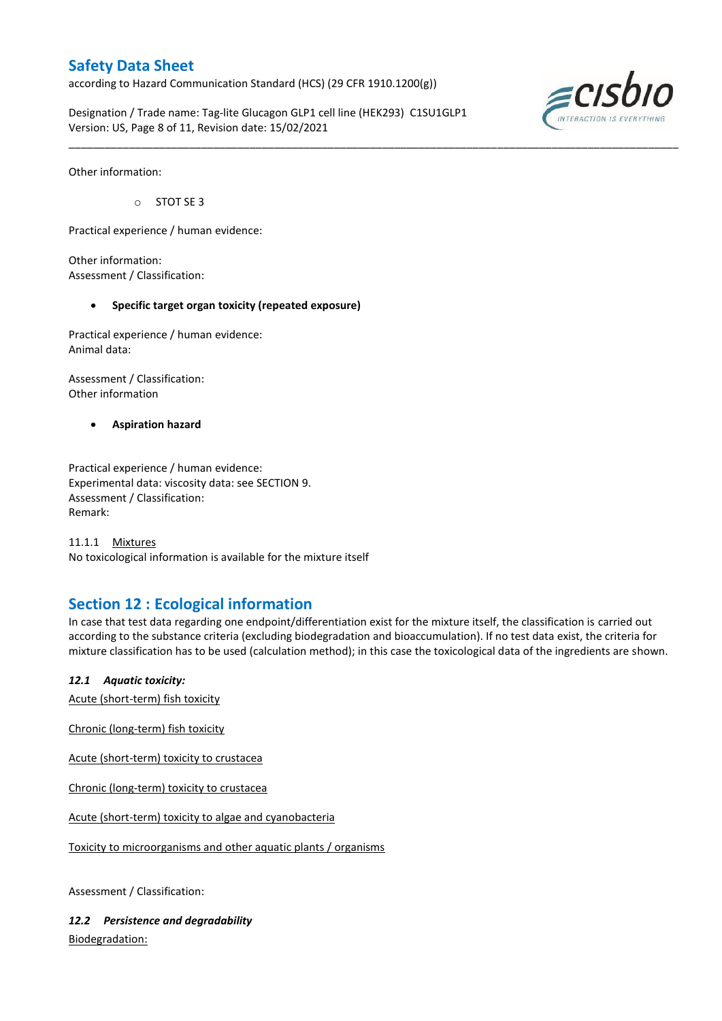according to Hazard Communication Standard (HCS) (29 CFR 1910.1200(g))

Designation / Trade name: Tag-lite Glucagon GLP1 cell line (HEK293) C1SU1GLP1 Version: US, Page 8 of 11, Revision date: 15/02/2021



Other information:

o STOT SE 3

Practical experience / human evidence:

Other information: Assessment / Classification:

### **Specific target organ toxicity (repeated exposure)**

Practical experience / human evidence: Animal data:

Assessment / Classification: Other information

**Aspiration hazard**

Practical experience / human evidence: Experimental data: viscosity data: see SECTION 9. Assessment / Classification: Remark:

11.1.1 Mixtures No toxicological information is available for the mixture itself

# **Section 12 : Ecological information**

In case that test data regarding one endpoint/differentiation exist for the mixture itself, the classification is carried out according to the substance criteria (excluding biodegradation and bioaccumulation). If no test data exist, the criteria for mixture classification has to be used (calculation method); in this case the toxicological data of the ingredients are shown.

\_\_\_\_\_\_\_\_\_\_\_\_\_\_\_\_\_\_\_\_\_\_\_\_\_\_\_\_\_\_\_\_\_\_\_\_\_\_\_\_\_\_\_\_\_\_\_\_\_\_\_\_\_\_\_\_\_\_\_\_\_\_\_\_\_\_\_\_\_\_\_\_\_\_\_\_\_\_\_\_\_\_\_\_\_\_\_\_\_\_\_\_\_\_\_\_\_\_\_\_\_

*12.1 Aquatic toxicity:* 

Acute (short-term) fish toxicity

Chronic (long-term) fish toxicity

Acute (short-term) toxicity to crustacea

Chronic (long-term) toxicity to crustacea

Acute (short-term) toxicity to algae and cyanobacteria

Toxicity to microorganisms and other aquatic plants / organisms

Assessment / Classification:

*12.2 Persistence and degradability* Biodegradation: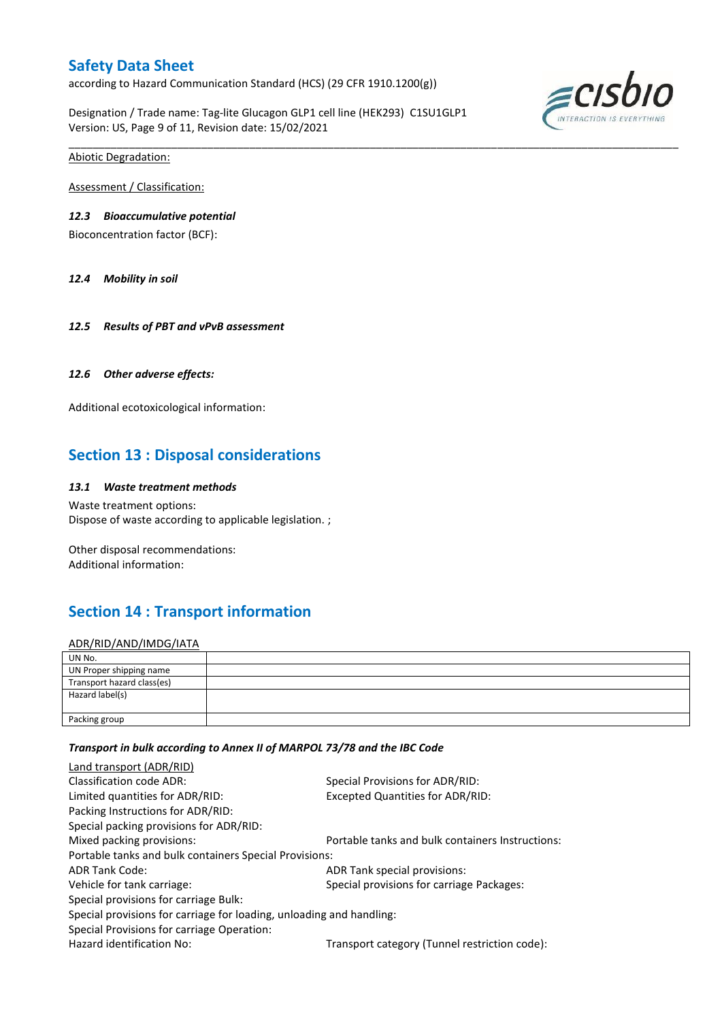according to Hazard Communication Standard (HCS) (29 CFR 1910.1200(g))

Designation / Trade name: Tag-lite Glucagon GLP1 cell line (HEK293) C1SU1GLP1 Version: US, Page 9 of 11, Revision date: 15/02/2021

\_\_\_\_\_\_\_\_\_\_\_\_\_\_\_\_\_\_\_\_\_\_\_\_\_\_\_\_\_\_\_\_\_\_\_\_\_\_\_\_\_\_\_\_\_\_\_\_\_\_\_\_\_\_\_\_\_\_\_\_\_\_\_\_\_\_\_\_\_\_\_\_\_\_\_\_\_\_\_\_\_\_\_\_\_\_\_\_\_\_\_\_\_\_\_\_\_\_\_\_\_



Abiotic Degradation:

Assessment / Classification:

### *12.3 Bioaccumulative potential*

Bioconcentration factor (BCF):

*12.4 Mobility in soil*

*12.5 Results of PBT and vPvB assessment*

#### *12.6 Other adverse effects:*

Additional ecotoxicological information:

# **Section 13 : Disposal considerations**

#### *13.1 Waste treatment methods*

Waste treatment options: Dispose of waste according to applicable legislation. ;

Other disposal recommendations: Additional information:

# **Section 14 : Transport information**

### ADR/RID/AND/IMDG/IATA

| UN No.                     |  |
|----------------------------|--|
| UN Proper shipping name    |  |
| Transport hazard class(es) |  |
| Hazard label(s)            |  |
|                            |  |
| Packing group              |  |

#### *Transport in bulk according to Annex II of MARPOL 73/78 and the IBC Code*

| Land transport (ADR/RID)                                             |                                                  |  |  |  |
|----------------------------------------------------------------------|--------------------------------------------------|--|--|--|
| Classification code ADR:                                             | Special Provisions for ADR/RID:                  |  |  |  |
| Limited quantities for ADR/RID:                                      | <b>Excepted Quantities for ADR/RID:</b>          |  |  |  |
| Packing Instructions for ADR/RID:                                    |                                                  |  |  |  |
| Special packing provisions for ADR/RID:                              |                                                  |  |  |  |
| Mixed packing provisions:                                            | Portable tanks and bulk containers Instructions: |  |  |  |
| Portable tanks and bulk containers Special Provisions:               |                                                  |  |  |  |
| ADR Tank Code:                                                       | ADR Tank special provisions:                     |  |  |  |
| Vehicle for tank carriage:                                           | Special provisions for carriage Packages:        |  |  |  |
| Special provisions for carriage Bulk:                                |                                                  |  |  |  |
| Special provisions for carriage for loading, unloading and handling: |                                                  |  |  |  |
| Special Provisions for carriage Operation:                           |                                                  |  |  |  |
| Hazard identification No:                                            | Transport category (Tunnel restriction code):    |  |  |  |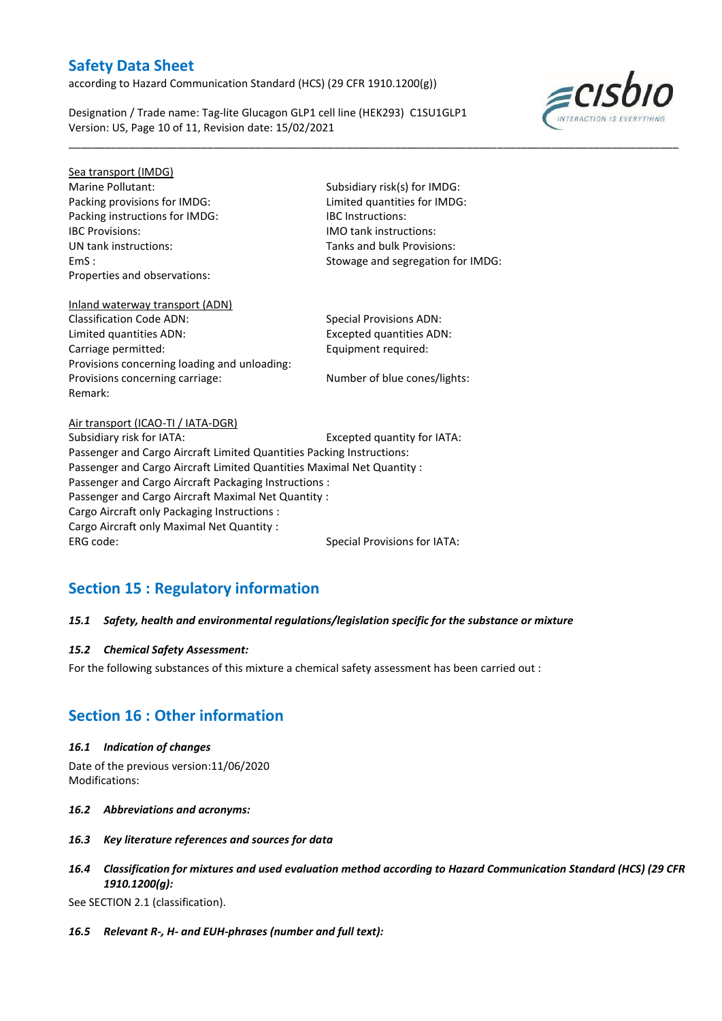according to Hazard Communication Standard (HCS) (29 CFR 1910.1200(g))

Designation / Trade name: Tag-lite Glucagon GLP1 cell line (HEK293) C1SU1GLP1 Version: US, Page 10 of 11, Revision date: 15/02/2021



Sea transport (IMDG) Marine Pollutant: Subsidiary risk(s) for IMDG: Packing provisions for IMDG: Limited quantities for IMDG: Packing instructions for IMDG: IBC Instructions: IBC Provisions: IMO tank instructions: UN tank instructions: Tanks and bulk Provisions: Properties and observations:

Remark:

EmS : Stowage and segregation for IMDG:

\_\_\_\_\_\_\_\_\_\_\_\_\_\_\_\_\_\_\_\_\_\_\_\_\_\_\_\_\_\_\_\_\_\_\_\_\_\_\_\_\_\_\_\_\_\_\_\_\_\_\_\_\_\_\_\_\_\_\_\_\_\_\_\_\_\_\_\_\_\_\_\_\_\_\_\_\_\_\_\_\_\_\_\_\_\_\_\_\_\_\_\_\_\_\_\_\_\_\_\_\_

### Inland waterway transport (ADN) Classification Code ADN: Special Provisions ADN: Limited quantities ADN: Excepted quantities ADN: Carriage permitted: Carriage permitted: Provisions concerning loading and unloading:

Provisions concerning carriage: Number of blue cones/lights:

Air transport (ICAO-TI / IATA-DGR) Subsidiary risk for IATA: Excepted quantity for IATA: Passenger and Cargo Aircraft Limited Quantities Packing Instructions: Passenger and Cargo Aircraft Limited Quantities Maximal Net Quantity : Passenger and Cargo Aircraft Packaging Instructions : Passenger and Cargo Aircraft Maximal Net Quantity : Cargo Aircraft only Packaging Instructions : Cargo Aircraft only Maximal Net Quantity : ERG code: Special Provisions for IATA:

# **Section 15 : Regulatory information**

### *15.1 Safety, health and environmental regulations/legislation specific for the substance or mixture*

### *15.2 Chemical Safety Assessment:*

For the following substances of this mixture a chemical safety assessment has been carried out :

# **Section 16 : Other information**

#### *16.1 Indication of changes*

Date of the previous version:11/06/2020 Modifications:

- *16.2 Abbreviations and acronyms:*
- *16.3 Key literature references and sources for data*
- *16.4 Classification for mixtures and used evaluation method according to Hazard Communication Standard (HCS) (29 CFR 1910.1200(g):*

See SECTION 2.1 (classification).

*16.5 Relevant R-, H- and EUH-phrases (number and full text):*